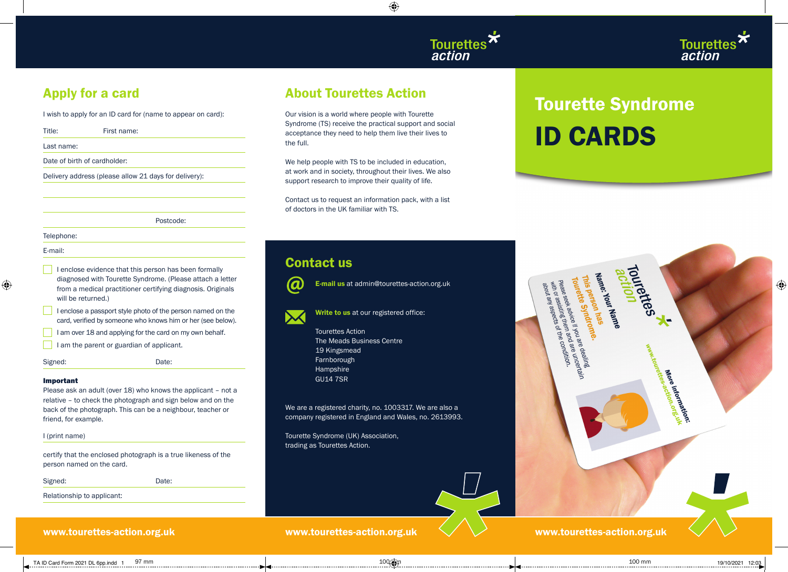



## Apply for a card

I wish to apply for an ID card for (name to appear on card):

| Title:     | First name:                                           |
|------------|-------------------------------------------------------|
| Last name: |                                                       |
|            | Date of birth of cardholder:                          |
|            | Delivery address (please allow 21 days for delivery): |
|            |                                                       |
|            |                                                       |
|            | Postcode:                                             |
| Telephone: |                                                       |
| E-mail:    |                                                       |

- I enclose evidence that this person has been formally diagnosed with Tourette Syndrome. (Please attach a letter from a medical practitioner certifying diagnosis. Originals will be returned.)
- I enclose a passport style photo of the person named on the card, verified by someone who knows him or her (see below).
- I am over 18 and applying for the card on my own behalf.
- I am the parent or guardian of applicant.
- Signed: Date:

 $\bigoplus$ 

### Important

Please ask an adult (over 18) who knows the applicant - not a relative – to check the photograph and sign below and on the back of the photograph. This can be a neighbour, teacher or friend, for example.

I (print name)

certify that the enclosed photograph is a true likeness of the person named on the card.

Signed: Date:

Relationship to applicant:

## About Tourettes Action

Our vision is a world where people with Tourette Syndrome (TS) receive the practical support and social acceptance they need to help them live their lives to the full.

⊕

We help people with TS to be included in education, at work and in society, throughout their lives. We also support research to improve their quality of life.

Contact us to request an information pack, with a list of doctors in the UK familiar with TS.

## Contact us



 $\omega$  E-mail us at admin@tourettes-action.org.uk

Write to us at our registered office:

 Tourettes Action The Meads Business Centre 19 Kingsmead Farnborough Hampshire GU14 7SR

We are a registered charity, no. 1003317. We are also a company registered in England and Wales, no. 2613993.

Tourette Syndrome (UK) Association, trading as Tourettes Action.



| TOUTERTES<br>Name: Your Name<br>This person has<br>Tourette Syndrome.                                                                                                   | $\bigcirc$ |
|-------------------------------------------------------------------------------------------------------------------------------------------------------------------------|------------|
| please seek advice it you are dealine<br>Please seek<br>with or assisting them and are uncertain<br>about any aspects of the Condition.<br>www.toureetee-action.org.unk |            |
| More information.                                                                                                                                                       |            |
| i<br>Ma<br>www.tourettes-action.org.uk                                                                                                                                  |            |

www.tourettes-action.org.uk www.tourettes-action.org.uk